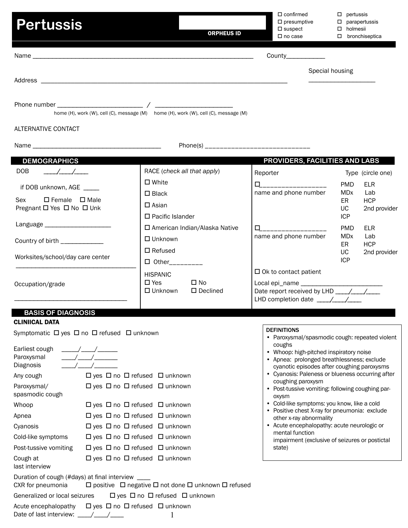| <b>Pertussis</b>                       | <b>ORPHEUS ID</b>                                                                   | $\Box$ confirmed<br>$\square$ presumptive<br>$\square$ suspect<br>$\square$ no case | □<br>pertussis<br>$\Box$<br>parapertussis<br>holmesii<br>$\Box$<br>$\Box$<br>bronchiseptica |
|----------------------------------------|-------------------------------------------------------------------------------------|-------------------------------------------------------------------------------------|---------------------------------------------------------------------------------------------|
|                                        |                                                                                     | County____________                                                                  |                                                                                             |
|                                        |                                                                                     | Special housing                                                                     |                                                                                             |
|                                        | home (H), work (W), cell (C), message (M) home (H), work (W), cell (C), message (M) |                                                                                     |                                                                                             |
| <b>ALTERNATIVE CONTACT</b>             |                                                                                     |                                                                                     |                                                                                             |
|                                        |                                                                                     |                                                                                     |                                                                                             |
| <b>DEMOGRAPHICS</b>                    |                                                                                     | PROVIDERS, FACILITIES AND LABS                                                      |                                                                                             |
| <b>DOB</b><br>$\frac{1}{2}$            | RACE (check all that apply)                                                         | Reporter                                                                            | Type (circle one)                                                                           |
| if DOB unknown, AGE                    | $\square$ White                                                                     |                                                                                     | <b>PMD</b><br><b>ELR</b>                                                                    |
| $\square$ Female $\square$ Male<br>Sex | $\square$ Black                                                                     | name and phone number                                                               | <b>MD</b> <sub>x</sub><br>Lab                                                               |
| Pregnant □ Yes □ No □ Unk              | $\square$ Asian                                                                     |                                                                                     | <b>HCP</b><br>ER<br><b>UC</b><br>2nd provider                                               |
|                                        | $\Box$ Pacific Islander                                                             |                                                                                     | <b>ICP</b>                                                                                  |
| Language ______________________        | □ American Indian/Alaska Native                                                     | 0___________________                                                                | <b>PMD</b><br><b>ELR</b>                                                                    |
| Country of birth _____________         | $\Box$ Unknown                                                                      | name and phone number                                                               | <b>MD</b> <sub>x</sub><br>Lab<br><b>HCP</b><br>ER                                           |
|                                        | $\Box$ Refused                                                                      |                                                                                     | UC<br>2nd provider                                                                          |
| Worksites/school/day care center       | $\Box$ Other_________                                                               |                                                                                     | <b>ICP</b>                                                                                  |
|                                        | <b>HISPANIC</b>                                                                     | $\Box$ Ok to contact patient                                                        |                                                                                             |
| Occupation/grade                       | $\Box$ No<br>$\square$ Yes<br>$\square$ Unknown<br>$\square$ Declined               |                                                                                     |                                                                                             |
|                                        |                                                                                     |                                                                                     |                                                                                             |
|                                        |                                                                                     |                                                                                     |                                                                                             |

### **BASIS OF DIAGNOSIS**

# CLINIICAL DATA

Symptomatic  $\Box$  yes  $\Box$  no  $\Box$  refused  $\Box$  unknown

| Earliest cough<br>Paroxysmal<br>Diagnosis                              |                                                                                  |           |
|------------------------------------------------------------------------|----------------------------------------------------------------------------------|-----------|
| Any cough                                                              | $\Box$ yes $\Box$ no $\Box$ refused $\Box$ unknown                               |           |
| Paroxysmal/<br>spasmodic cough                                         | $\Box$ yes $\Box$ no $\Box$ refused $\Box$ unknown                               |           |
| Whoop                                                                  | $\Box$ yes $\Box$ no $\Box$ refused $\Box$ unknown                               | $\bullet$ |
| Apnea                                                                  | $\Box$ yes $\Box$ no $\Box$ refused $\Box$ unknown                               |           |
| Cyanosis                                                               | $\Box$ yes $\Box$ no $\Box$ refused $\Box$ unknown                               |           |
| Cold-like symptoms                                                     | $\Box$ yes $\Box$ no $\Box$ refused $\Box$ unknown                               |           |
| Post-tussive vomiting                                                  | $\Box$ yes $\Box$ no $\Box$ refused $\Box$ unknown                               |           |
| Cough at<br>last interview                                             | $\Box$ yes $\Box$ no $\Box$ refused $\Box$ unknown                               |           |
| Duration of cough (#days) at final interview ____<br>CXR for pneumonia | $\Box$ positive $\Box$ negative $\Box$ not done $\Box$ unknown $\Box$ refused    |           |
|                                                                        | Generalized or local seizures $\Box$ yes $\Box$ no $\Box$ refused $\Box$ unknown |           |
| Date of last interview: /                                              | Acute encephalopathy $\Box$ yes $\Box$ no $\Box$ refused $\Box$ unknown          |           |

# DEFINITIONS

- Paroxysmal/spasmodic cough: repeated violent coughs
- Whoop: high-pitched inspiratory noise
- Apnea: prolonged breathlessness; exclude cyanotic episodes after coughing paroxysms
- Cyanosis: Paleness or blueness occurring after coughing paroxysm
- Post-tussive vomiting: following coughing paroxysm
- Cold-like symptoms: you know, like a cold
- Positive chest X-ray for pneumonia: exclude other x-ray abnormality
- Acute encephalopathy: acute neurologic or mental function impairment (exclusive of seizures or postictal state)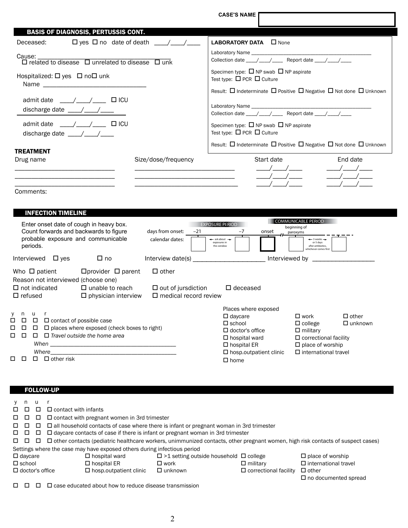**CASE'S NAME** BASIS OF DIAGNOSIS, PERTUSSIS CONT. TREATMENT Drug name The Size/dose/frequency Start date Start date End date \_\_\_\_\_\_\_\_\_\_\_\_\_\_\_\_\_\_\_\_\_\_\_\_\_\_\_\_\_\_ \_\_\_\_\_\_\_\_\_\_\_\_\_\_\_\_\_\_\_\_\_\_\_\_\_\_\_\_\_\_ \_\_\_\_/\_\_\_\_/\_\_\_\_ \_\_\_\_/\_\_\_\_/\_\_\_\_ \_\_\_\_\_\_\_\_\_\_\_\_\_\_\_\_\_\_\_\_\_\_\_\_\_\_\_\_\_\_ \_\_\_\_\_\_\_\_\_\_\_\_\_\_\_\_\_\_\_\_\_\_\_\_\_\_\_\_\_\_ \_\_\_\_/\_\_\_\_/\_\_\_\_ \_\_\_\_/\_\_\_\_/\_\_\_\_ \_\_\_\_\_\_\_\_\_\_\_\_\_\_\_\_\_\_\_\_\_\_\_\_\_\_\_\_\_\_ \_\_\_\_\_\_\_\_\_\_\_\_\_\_\_\_\_\_\_\_\_\_\_\_\_\_\_\_\_\_\_ \_\_\_\_/\_\_\_\_/\_\_\_\_ \_\_\_\_/\_\_\_\_/\_\_\_\_ Comments: Deceased:  $\Box$  yes  $\Box$  no date of death  $\Box$ Cause: \_\_\_\_\_\_\_\_\_\_\_\_\_\_\_\_\_\_\_\_\_\_\_\_\_\_\_\_\_\_\_\_\_\_\_\_\_\_\_\_ related to disease unrelated to disease unk Hospitalized:  $\square$  yes  $\square$  no $\square$  unk Name \_\_\_\_\_\_\_\_\_\_\_\_\_\_\_\_\_\_\_\_\_\_\_\_\_\_\_\_\_\_\_ admit date  $\angle$  /  $\angle$   $\Box$  ICU discharge date  $\underline{\qquad \qquad \qquad }$ admit date  $\frac{1}{2}$   $\frac{1}{2}$   $\frac{1}{2}$  ICU discharge date \_\_\_\_/\_\_\_\_/\_\_\_\_ LABORATORY DATA **D** None Laboratory Name Collection date  $\frac{1}{\sqrt{2\pi}}$  Report date  $\frac{1}{\sqrt{2\pi}}$ Specimen type:  $\Box$  NP swab  $\Box$  NP aspirate Test type:  $\Box$  PCR  $\Box$  Culture Result:  $\Box$  Indeterminate  $\Box$  Positive  $\Box$  Negative  $\Box$  Not done  $\Box$  Unknown Laboratory Name Collection date \_\_\_\_/\_\_\_\_/\_\_\_\_\_ Report date \_\_\_\_/\_\_\_\_/\_\_\_\_ Specimen type:  $\Box$  NP swab  $\Box$  NP aspirate Test type:  $\Box$  PCR  $\Box$  Culture Result:  $\Box$  Indeterminate  $\Box$  Positive  $\Box$  Negative  $\Box$  Not done  $\Box$  Unknown

|                                                                 | <b>INFECTION TIMELINE</b>                                                         |                                                                                                                                                                                                                                                                                                                                                                                                                                                                                                                                                              |                                                                           |                                 |                                                                                                                                                                     |       |                                                                                                                                                          |                                |
|-----------------------------------------------------------------|-----------------------------------------------------------------------------------|--------------------------------------------------------------------------------------------------------------------------------------------------------------------------------------------------------------------------------------------------------------------------------------------------------------------------------------------------------------------------------------------------------------------------------------------------------------------------------------------------------------------------------------------------------------|---------------------------------------------------------------------------|---------------------------------|---------------------------------------------------------------------------------------------------------------------------------------------------------------------|-------|----------------------------------------------------------------------------------------------------------------------------------------------------------|--------------------------------|
|                                                                 | periods.                                                                          | Enter onset date of cough in heavy box.<br>Count forwards and backwards to figure<br>probable exposure and communicable                                                                                                                                                                                                                                                                                                                                                                                                                                      | days from onset:<br>calendar dates:                                       | <b>EXPOSURE PERIOD</b><br>$-21$ | $-7$<br>$\leftarrow$ ask about $\rightarrow$<br>exposures in<br>this window                                                                                         | onset | <b>COMMUNICABLE PERIOD</b><br>beginning of<br>paroxyms<br>$\leftarrow$ 3 weeks $\rightarrow$<br>or 5 days<br>after antibiotics.<br>whichever comes first |                                |
|                                                                 | Interviewed<br>$\square$ yes                                                      | $\square$ no                                                                                                                                                                                                                                                                                                                                                                                                                                                                                                                                                 | Interview date(s)                                                         |                                 |                                                                                                                                                                     |       | Interviewed by                                                                                                                                           |                                |
| $\Box$ refused                                                  | Who $\Box$ patient<br>Reason not interviewed (choose one)<br>$\Box$ not indicated | $\Box$ provider $\Box$ parent<br>$\Box$ unable to reach<br>$\square$ physician interview                                                                                                                                                                                                                                                                                                                                                                                                                                                                     | $\Box$ other<br>$\Box$ out of jursdiction<br>$\Box$ medical record review |                                 | $\Box$ deceased                                                                                                                                                     |       |                                                                                                                                                          |                                |
| V<br>n.<br>$\Box$<br>$\Box$<br>$\Box$<br>$\Box$<br>П.<br>$\Box$ | u<br>$\Box$ contact of possible case<br>$\Box$<br>$\Box$<br>п                     | $\Box$ places where exposed (check boxes to right)<br>$\Box$ Travel outside the home area<br>When you have a series of the contract of the contract of the contract of the contract of the contract of the contract of the contract of the contract of the contract of the contract of the contract of the contract of the<br>Where we have a set of the set of the set of the set of the set of the set of the set of the set of the set of the set of the set of the set of the set of the set of the set of the set of the set of the set of the set of t |                                                                           |                                 | Places where exposed<br>$\Box$ daycare<br>$\Box$ school<br>$\Box$ doctor's office<br>$\square$ hospital ward<br>$\Box$ hospital ER<br>$\Box$ hosp.outpatient clinic |       | $\square$ work<br>$\Box$ college<br>$\Box$ military<br>$\square$ correctional facility<br>$\square$ place of worship<br>$\Box$ international travel      | $\Box$ other<br>$\Box$ unknown |
|                                                                 | $\Box$ other risk<br>ΙI                                                           |                                                                                                                                                                                                                                                                                                                                                                                                                                                                                                                                                              |                                                                           |                                 | $\square$ home                                                                                                                                                      |       |                                                                                                                                                          |                                |

|  | <b>FOLLOW-UP</b> |  |
|--|------------------|--|
|  |                  |  |

| V.            | n              | u                      |                                                                                                                                       |                                                    |                              |                             |
|---------------|----------------|------------------------|---------------------------------------------------------------------------------------------------------------------------------------|----------------------------------------------------|------------------------------|-----------------------------|
| 0 O           |                | П                      | $\Box$ contact with infants                                                                                                           |                                                    |                              |                             |
| 0 O           |                | □                      | $\Box$ contact with pregnant women in 3rd trimester                                                                                   |                                                    |                              |                             |
| 0 O           |                | □                      | $\Box$ all household contacts of case where there is infant or pregnant woman in 3rd trimester                                        |                                                    |                              |                             |
| $\Box$ $\Box$ |                | □                      | $\Box$ daycare contacts of case if there is infant or pregnant woman in 3rd trimester                                                 |                                                    |                              |                             |
| 0 O           |                | □                      | $\Box$ other contacts (pediatric healthcare workers, unimmunized contacts, other pregnant women, high risk contacts of suspect cases) |                                                    |                              |                             |
|               |                |                        | Settings where the case may have exposed others during infectious period                                                              |                                                    |                              |                             |
|               | $\Box$ daycare |                        | $\Box$ hospital ward                                                                                                                  | $\Box$ >1 setting outside household $\Box$ college |                              | $\Box$ place of worship     |
|               | $\Box$ school  |                        | $\square$ hospital ER                                                                                                                 | $\square$ work                                     | $\square$ military           | $\Box$ international travel |
|               |                | $\Box$ doctor's office | $\Box$ hosp.outpatient clinic                                                                                                         | $\Box$ unknown                                     | $\Box$ correctional facility | $\Box$ other                |
|               |                |                        |                                                                                                                                       |                                                    |                              | $\Box$ no documented spread |
| □             |                |                        | $\square$ case educated about how to reduce disease transmission                                                                      |                                                    |                              |                             |

2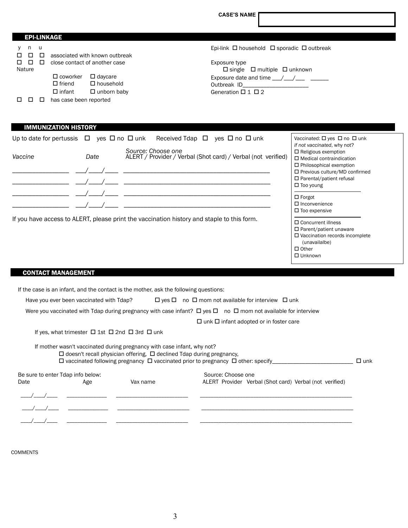**CASE'S NAME**

| <b>EPI-LINKAGE</b>                   |                                                                                                                  |                                                                                                                                     |
|--------------------------------------|------------------------------------------------------------------------------------------------------------------|-------------------------------------------------------------------------------------------------------------------------------------|
| -u<br>n<br>$\Box$<br>$\Box$<br>П.    | associated with known outbreak                                                                                   | Epi-link $\Box$ household $\Box$ sporadic $\Box$ outbreak                                                                           |
| $\Box$<br>$\Box$<br>$\Box$<br>Nature | close contact of another case                                                                                    | Exposure type<br>$\Box$ single $\Box$ multiple $\Box$ unknown                                                                       |
|                                      | $\square$ coworker<br>$\Box$ daycare<br>$\Box$ household<br>$\Box$ friend<br>$\Box$ infant<br>$\Box$ unborn baby | Exposure date and time $\frac{1}{\sqrt{1-\frac{1}{2}}}$<br>Outbreak ID Production Contract Products<br>Generation $\Box$ 1 $\Box$ 2 |
|                                      | has case been reported                                                                                           |                                                                                                                                     |

# IMMUNIZATION HISTORY

|         |      | Up to date for pertussis $\Box$ yes $\Box$ no $\Box$ unk Received Tdap $\Box$ yes $\Box$ no $\Box$ unk | Vaccinated: $\Box$ yes $\Box$ no $\Box$ unk<br>if not vaccinated, why not?                                                                                                                     |
|---------|------|--------------------------------------------------------------------------------------------------------|------------------------------------------------------------------------------------------------------------------------------------------------------------------------------------------------|
| Vaccine | Date | Source: Choose one<br>ALERT / Provider / Verbal (Shot card) / Verbal (not verified)                    | $\Box$ Religious exemption<br>$\Box$ Medical contraindication<br>$\Box$ Philosophical exemption<br>$\Box$ Previous culture/MD confirmed<br>$\Box$ Parental/patient refusal<br>$\Box$ Too young |
|         |      |                                                                                                        | $\Box$ Forgot<br>$\Box$ Inconvenience<br>$\square$ Too expensive                                                                                                                               |
|         |      | If you have access to ALERT, please print the vaccination history and staple to this form.             | $\Box$ Concurrent illness<br>$\Box$ Parent/patient unaware<br>$\Box$ Vaccination records incomplete<br>(unavailalbe)<br>$\Box$ Other                                                           |

□ Unknown

# CONTACT MANAGEMENT

| If the case is an infant, and the contact is the mother, ask the following questions: |                                                                                  |                                                                                                                              |            |
|---------------------------------------------------------------------------------------|----------------------------------------------------------------------------------|------------------------------------------------------------------------------------------------------------------------------|------------|
| Have you ever been vaccinated with Tdap?                                              |                                                                                  | $\Box$ yes $\Box$ no $\Box$ mom not available for interview $\Box$ unk                                                       |            |
|                                                                                       |                                                                                  | Were you vaccinated with Idap during pregnancy with case infant? $\Box$ yes $\Box$ no $\Box$ mom not available for interview |            |
|                                                                                       |                                                                                  | $\Box$ unk $\Box$ infant adopted or in foster care                                                                           |            |
| If yes, what trimester $\Box$ 1st $\Box$ 2nd $\Box$ 3rd $\Box$ unk                    |                                                                                  |                                                                                                                              |            |
| If mother wasn't vaccinated during pregnancy with case infant, why not?               | $\Box$ doesn't recall physician offering, $\Box$ declined Tdap during pregnancy, | $\Box$ vaccinated following pregnancy $\Box$ vaccinated prior to pregnancy $\Box$ other: specify                             | $\Box$ unk |
| Be sure to enter Tdap info below:                                                     |                                                                                  | Source: Choose one                                                                                                           |            |
| Date<br>Age                                                                           | Vax name                                                                         | ALERT Provider Verbal (Shot card) Verbal (not verified)                                                                      |            |
|                                                                                       |                                                                                  |                                                                                                                              |            |
|                                                                                       |                                                                                  |                                                                                                                              |            |

\_\_\_\_/\_\_\_\_/\_\_\_\_ \_\_\_\_\_\_\_\_\_\_\_\_\_\_\_ \_\_\_\_\_\_\_\_\_\_\_\_\_\_\_\_\_\_\_\_\_\_\_\_\_\_\_ \_\_\_\_\_\_\_\_\_\_\_\_\_\_\_\_\_\_\_\_\_\_\_\_\_\_\_\_\_\_\_\_\_\_\_\_\_\_\_\_\_\_\_\_\_\_\_\_\_\_\_\_\_\_\_\_\_

COMMENTS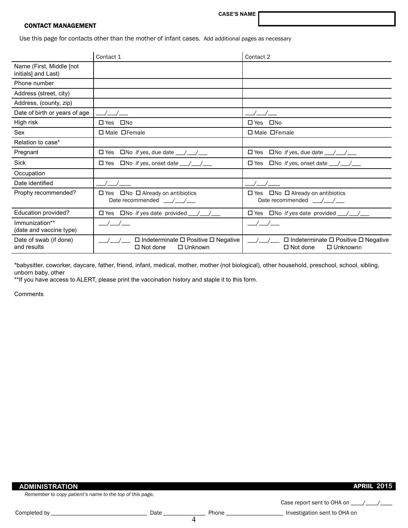**CASE'S NAME**

## CONTACT MANAGEMENT

Use this page for contacts other than the mother of infant cases. Add additional pages as necessary

|                                                 | Contact 1                                                                                              | Contact 2                                                                                                          |
|-------------------------------------------------|--------------------------------------------------------------------------------------------------------|--------------------------------------------------------------------------------------------------------------------|
| Name (First, Middle [not<br>initials] and Last) |                                                                                                        |                                                                                                                    |
| Phone number                                    |                                                                                                        |                                                                                                                    |
| Address (street, city)                          |                                                                                                        |                                                                                                                    |
| Address, (county, zip)                          |                                                                                                        |                                                                                                                    |
| Date of birth or years of age                   |                                                                                                        |                                                                                                                    |
| High risk                                       | $\square$ No<br>$\square$ Yes                                                                          | $\square$ Yes<br>$\square$ No                                                                                      |
| Sex                                             | $\Box$ Male $\Box$ Female                                                                              | $\Box$ Male $\Box$ Female                                                                                          |
| Relation to case*                               |                                                                                                        |                                                                                                                    |
| Pregnant                                        | $\Box$ Yes $\Box$ No if yes, due date $\_\_\_\_\_\_\_\_\_\_\_\_\_\_\_\_\_\_\_\_\_\_\_\_\_\_\_\_\_\_\_$ | $\square$ Yes<br>$\Box$ No <i>if yes</i> , due date $\_\_\_\_\_\_\_\_\_\_\_\_\_\_\_\_\_\_\_\_\_\_\_\_\_\_\_\_\_\_$ |
| <b>Sick</b>                                     | $\square$ Yes<br>$\Box$ No if yes, onset date __/__/__                                                 | $\square$ Yes<br>$\Box$ No if yes, onset date $\_\_\_\_\_\_\_\_\_\_\_\_\$                                          |
| Occupation                                      |                                                                                                        |                                                                                                                    |
| Date identified                                 |                                                                                                        |                                                                                                                    |
| Prophy recommended?                             | $\Box$ No $\Box$ Already on antibiotics<br>$\square$ Yes<br>Date recommended / /                       | $\Box$ No $\Box$ Already on antibiotics<br>$\square$ Yes<br>Date recommended __/__/__                              |
| Education provided?                             | $\Box$ No if yes date provided $\Box/\Box/\Box$<br>$\square$ Yes                                       | $\Box$ Yes $\Box$ No if yes date provided $\Box/\Box/\Box$                                                         |
| Immunization**<br>(date and vaccine type)       |                                                                                                        |                                                                                                                    |
| Date of swab (if done)<br>and results           | $\square$ Indeterminate $\square$ Positive $\square$ Negative<br>$\Box$ Not done<br>$\Box$ Unknown     | □ Indeterminate □ Positive □ Negative<br>$\Box$ Unknownn<br>$\Box$ Not done                                        |

\*babysitter, coworker, daycare, father, friend, infant, medical, mother, mother (not biological), other household, preschool, school, sibling, unborn baby, other

\*\*If you have access to ALERT, please print the vaccination history and staple it to this form.

Comments

Н

| <b>ADMINISTRATION</b>                                    |      |       | <b>APRIIL 2015</b>           |  |
|----------------------------------------------------------|------|-------|------------------------------|--|
| Remember to copy patient's name to the top of this page. |      |       |                              |  |
|                                                          |      |       | Case report sent to OHA on   |  |
| Completed by                                             | Date | Phone | Investigation sent to OHA on |  |